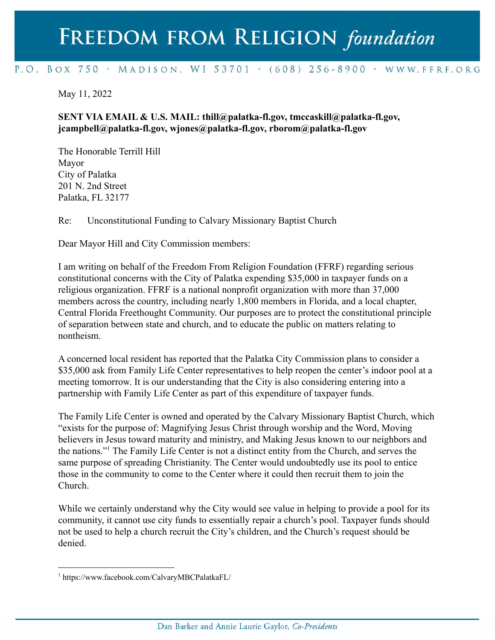## FREEDOM FROM RELIGION foundation

## P.O. BOX 750 > MADISON, WI 53701 > (608) 256-8900 > WWW.FFRF.ORG

## May 11, 2022

## **SENT VIA EMAIL & U.S. MAIL: thill@palatka-fl.gov, tmccaskill@palatka-fl.gov, jcampbell@palatka-fl.gov, wjones@palatka-fl.gov, rborom@palatka-fl.gov**

The Honorable Terrill Hill Mayor City of Palatka 201 N. 2nd Street Palatka, FL 32177

Re: Unconstitutional Funding to Calvary Missionary Baptist Church

Dear Mayor Hill and City Commission members:

I am writing on behalf of the Freedom From Religion Foundation (FFRF) regarding serious constitutional concerns with the City of Palatka expending \$35,000 in taxpayer funds on a religious organization. FFRF is a national nonprofit organization with more than 37,000 members across the country, including nearly 1,800 members in Florida, and a local chapter, Central Florida Freethought Community. Our purposes are to protect the constitutional principle of separation between state and church, and to educate the public on matters relating to nontheism.

A concerned local resident has reported that the Palatka City Commission plans to consider a \$35,000 ask from Family Life Center representatives to help reopen the center's indoor pool at a meeting tomorrow. It is our understanding that the City is also considering entering into a partnership with Family Life Center as part of this expenditure of taxpayer funds.

The Family Life Center is owned and operated by the Calvary Missionary Baptist Church, which "exists for the purpose of: Magnifying Jesus Christ through worship and the Word, Moving believers in Jesus toward maturity and ministry, and Making Jesus known to our neighbors and the nations."<sup>1</sup> The Family Life Center is not a distinct entity from the Church, and serves the same purpose of spreading Christianity. The Center would undoubtedly use its pool to entice those in the community to come to the Center where it could then recruit them to join the Church.

While we certainly understand why the City would see value in helping to provide a pool for its community, it cannot use city funds to essentially repair a church's pool. Taxpayer funds should not be used to help a church recruit the City's children, and the Church's request should be denied.

<sup>1</sup> https://www.facebook.com/CalvaryMBCPalatkaFL/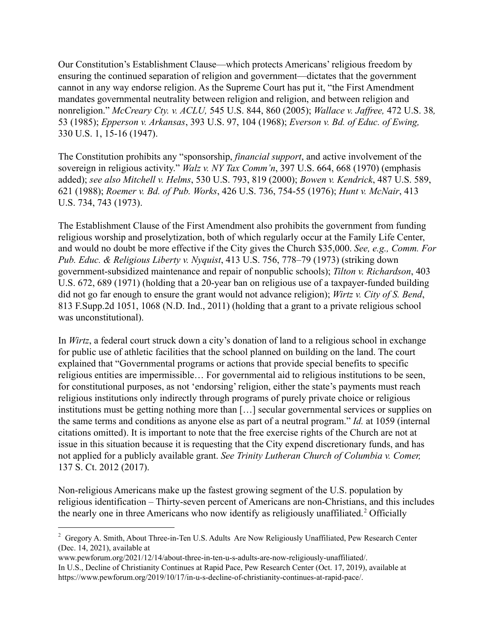Our Constitution's Establishment Clause—which protects Americans' religious freedom by ensuring the continued separation of religion and government—dictates that the government cannot in any way endorse religion. As the Supreme Court has put it, "the First Amendment mandates governmental neutrality between religion and religion, and between religion and nonreligion." *McCreary Cty. v. ACLU,* 545 U.S. 844, 860 (2005); *Wallace v. Jaffree,* 472 U.S. 38*,* 53 (1985); *Epperson v. Arkansas*, 393 U.S. 97, 104 (1968); *Everson v. Bd. of Educ. of Ewing,* 330 U.S. 1, 15-16 (1947).

The Constitution prohibits any "sponsorship, *financial support*, and active involvement of the sovereign in religious activity." *Walz v. NY Tax Comm'n*, 397 U.S. 664, 668 (1970) (emphasis added); *see also Mitchell v. Helms*, 530 U.S. 793, 819 (2000); *Bowen v. Kendrick*, 487 U.S. 589, 621 (1988); *Roemer v. Bd. of Pub. Works*, 426 U.S. 736, 754-55 (1976); *Hunt v. McNair*, 413 U.S. 734, 743 (1973).

The Establishment Clause of the First Amendment also prohibits the government from funding religious worship and proselytization, both of which regularly occur at the Family Life Center, and would no doubt be more effective if the City gives the Church \$35,000. *See, e.g., Comm. For Pub. Educ. & Religious Liberty v. Nyquist*, 413 U.S. 756, 778–79 (1973) (striking down government-subsidized maintenance and repair of nonpublic schools); *Tilton v. Richardson*, 403 U.S. 672, 689 (1971) (holding that a 20-year ban on religious use of a taxpayer-funded building did not go far enough to ensure the grant would not advance religion); *Wirtz v. City of S. Bend*, 813 F.Supp.2d 1051, 1068 (N.D. Ind., 2011) (holding that a grant to a private religious school was unconstitutional).

In *Wirtz*, a federal court struck down a city's donation of land to a religious school in exchange for public use of athletic facilities that the school planned on building on the land. The court explained that "Governmental programs or actions that provide special benefits to specific religious entities are impermissible… For governmental aid to religious institutions to be seen, for constitutional purposes, as not 'endorsing' religion, either the state's payments must reach religious institutions only indirectly through programs of purely private choice or religious institutions must be getting nothing more than […] secular governmental services or supplies on the same terms and conditions as anyone else as part of a neutral program." *Id.* at 1059 (internal citations omitted). It is important to note that the free exercise rights of the Church are not at issue in this situation because it is requesting that the City expend discretionary funds, and has not applied for a publicly available grant. *See Trinity Lutheran Church of Columbia v. Comer,* 137 S. Ct. 2012 (2017).

Non-religious Americans make up the fastest growing segment of the U.S. population by religious identification – Thirty-seven percent of Americans are non-Christians, and this includes the nearly one in three Americans who now identify as religiously unaffiliated.<sup>2</sup> Officially

<sup>&</sup>lt;sup>2</sup> Gregory A. Smith, About Three-in-Ten U.S. Adults Are Now Religiously Unaffiliated, Pew Research Center (Dec. 14, 2021), available at

www.pewforum.org/2021/12/14/about-three-in-ten-u-s-adults-are-now-religiously-unaffiliated/. In U.S., Decline of Christianity Continues at Rapid Pace, Pew Research Center (Oct. 17, 2019), available at https://www.pewforum.org/2019/10/17/in-u-s-decline-of-christianity-continues-at-rapid-pace/.